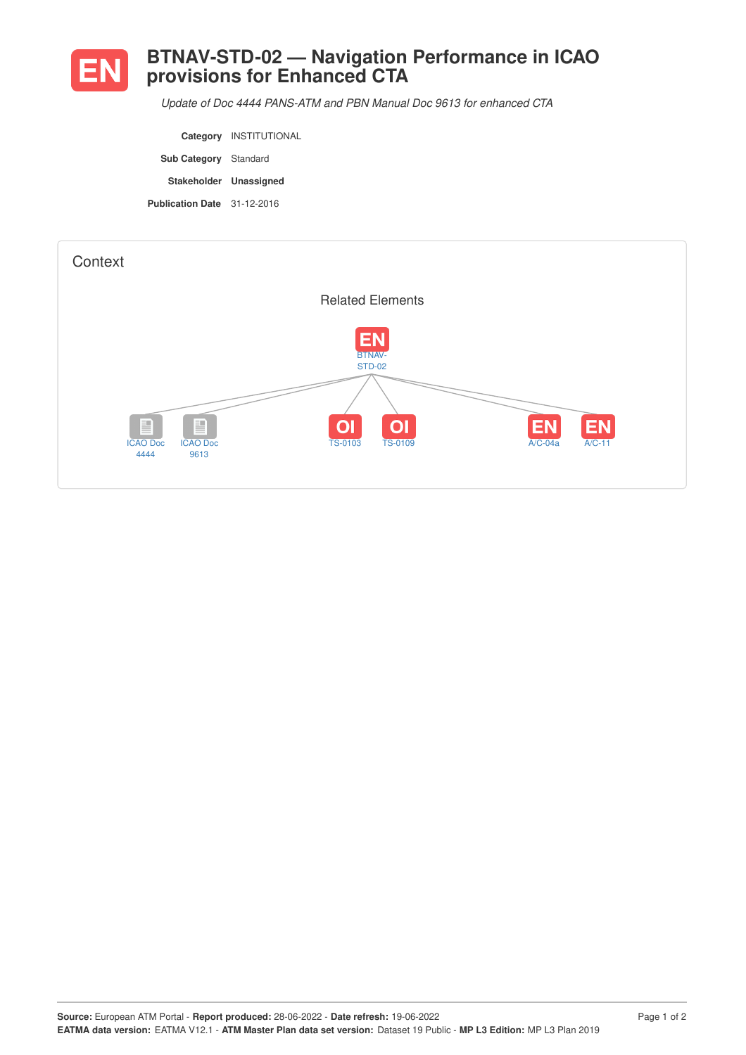

## **BTNAV-STD-02 — Navigation Performance in ICAO provisions for Enhanced CTA**

*Update of Doc 4444 PANS-ATM and PBN Manual Doc 9613 for enhanced CTA*

**Category** INSTITUTIONAL **Sub Category** Standard **Stakeholder Unassigned Publication Date** 31-12-2016